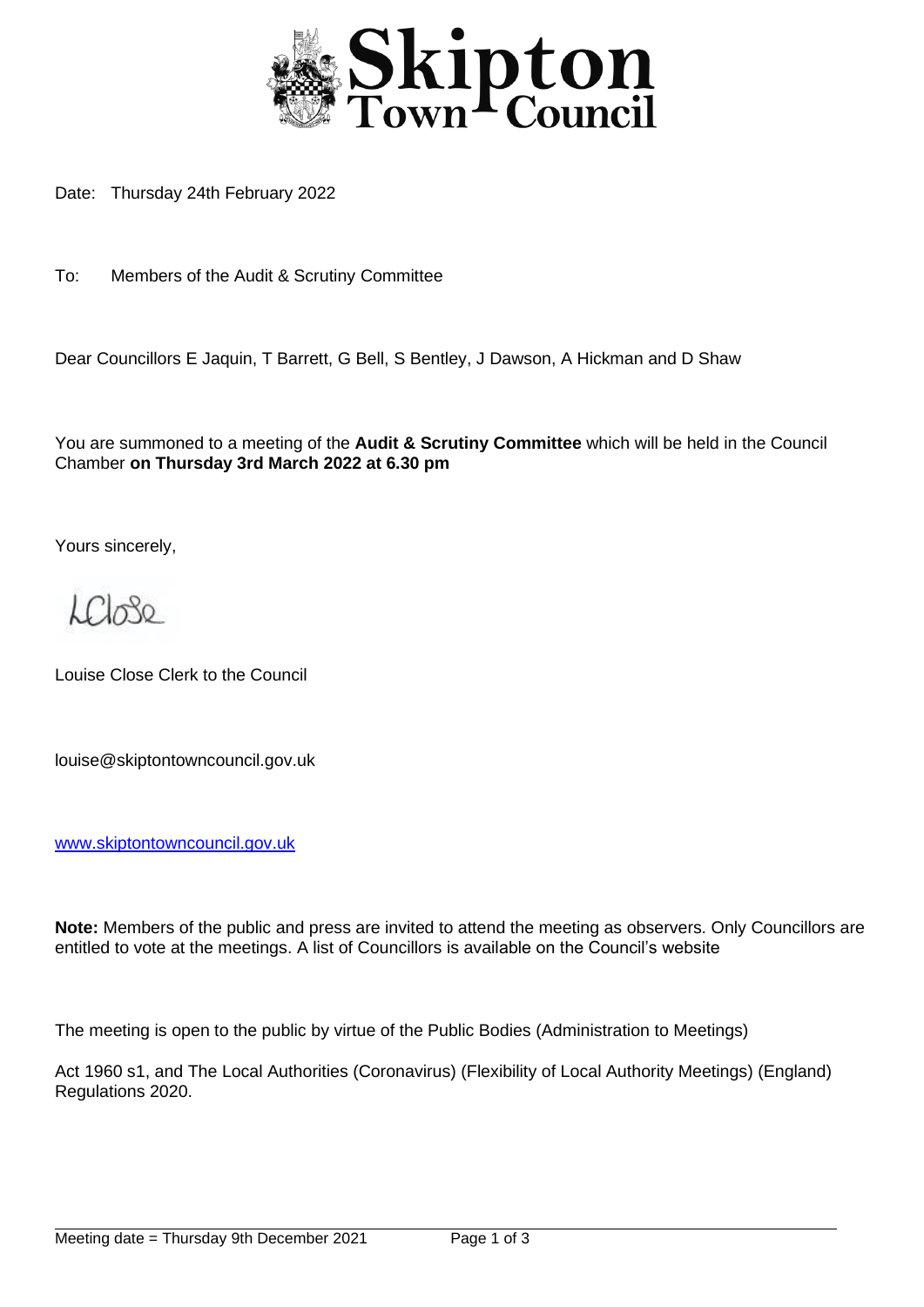

Date: Thursday 24th February 2022

To: Members of the Audit & Scrutiny Committee

Dear Councillors E Jaquin, T Barrett, G Bell, S Bentley, J Dawson, A Hickman and D Shaw

You are summoned to a meeting of the **Audit & Scrutiny Committee** which will be held in the Council Chamber **on Thursday 3rd March 2022 at 6.30 pm**

Yours sincerely,

 $\mathcal{L}\mathcal{L}$ 

Louise Close Clerk to the Council

louise@skiptontowncouncil.gov.uk

[www.skiptontowncouncil.gov.uk](http://www.skiptontowncouncil.gov.uk/)

**Note:** Members of the public and press are invited to attend the meeting as observers. Only Councillors are entitled to vote at the meetings. A list of Councillors is available on the Council's website

The meeting is open to the public by virtue of the Public Bodies (Administration to Meetings)

Act 1960 s1, and The Local Authorities (Coronavirus) (Flexibility of Local Authority Meetings) (England) Regulations 2020.

j.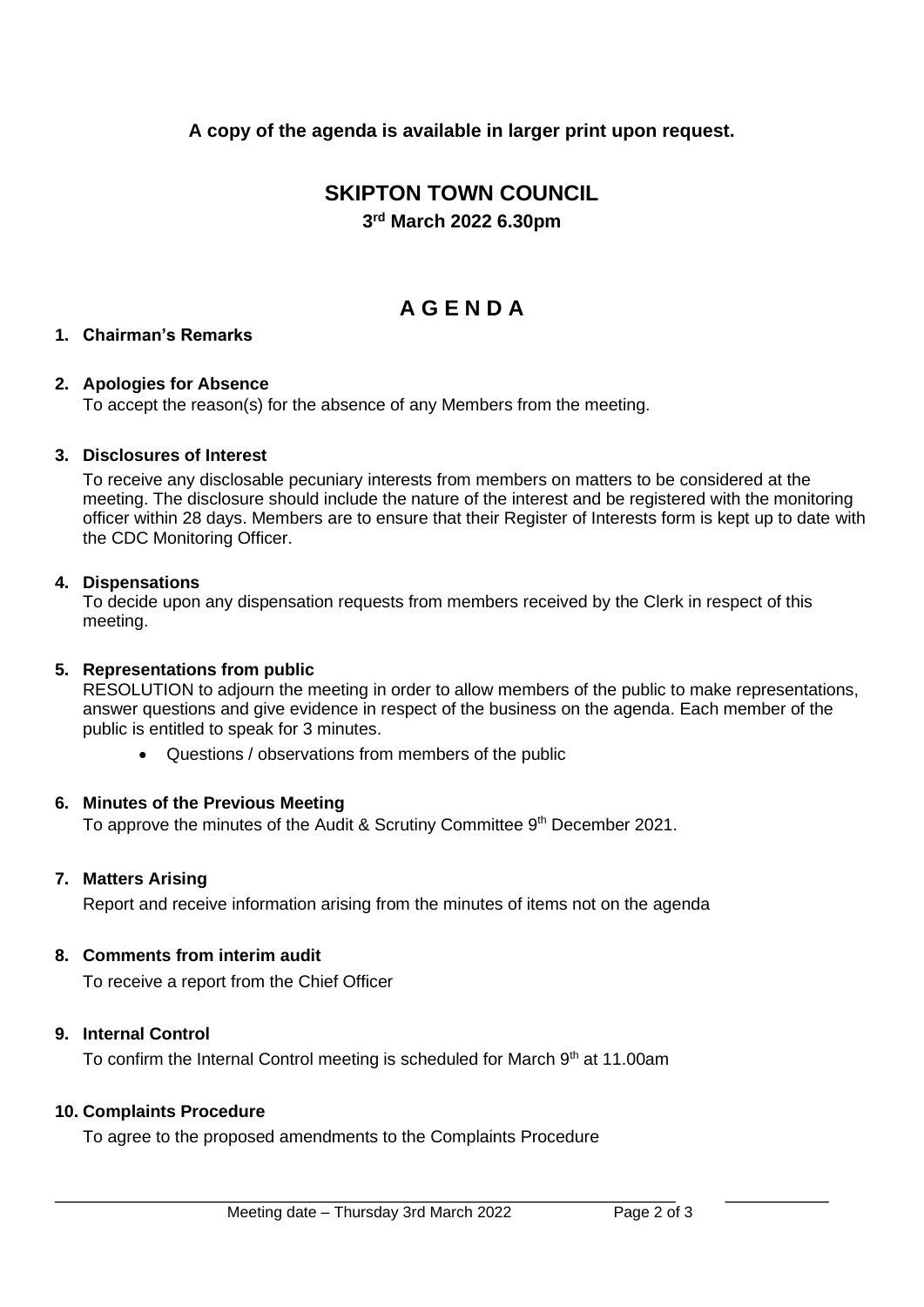**A copy of the agenda is available in larger print upon request.**

# **SKIPTON TOWN COUNCIL 3 rd March 2022 6.30pm**

# **A G E N D A**

# **1. Chairman's Remarks**

## **2. Apologies for Absence**

To accept the reason(s) for the absence of any Members from the meeting.

## **3. Disclosures of Interest**

To receive any disclosable pecuniary interests from members on matters to be considered at the meeting. The disclosure should include the nature of the interest and be registered with the monitoring officer within 28 days. Members are to ensure that their Register of Interests form is kept up to date with the CDC Monitoring Officer.

## **4. Dispensations**

To decide upon any dispensation requests from members received by the Clerk in respect of this meeting.

#### **5. Representations from public**

RESOLUTION to adjourn the meeting in order to allow members of the public to make representations, answer questions and give evidence in respect of the business on the agenda. Each member of the public is entitled to speak for 3 minutes.

• Questions / observations from members of the public

#### **6. Minutes of the Previous Meeting**

To approve the minutes of the Audit & Scrutiny Committee 9<sup>th</sup> December 2021.

# **7. Matters Arising**

Report and receive information arising from the minutes of items not on the agenda

#### **8. Comments from interim audit**

To receive a report from the Chief Officer

# **9. Internal Control**

To confirm the Internal Control meeting is scheduled for March  $9<sup>th</sup>$  at 11.00am

# **10. Complaints Procedure**

To agree to the proposed amendments to the Complaints Procedure

\_\_\_\_\_\_\_\_\_\_\_\_\_\_\_\_\_\_\_\_\_\_\_\_\_\_\_\_\_\_\_\_\_\_\_\_\_\_\_\_\_\_\_\_\_\_\_\_\_\_\_\_\_\_\_\_\_\_\_\_ \_\_\_\_\_\_\_\_\_\_